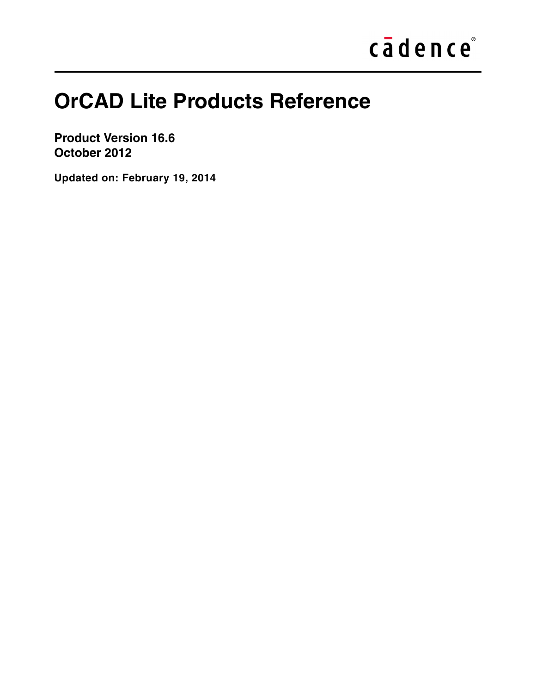# cādence®

## **OrCAD Lite Products Reference**

**Product Version 16.6 October 2012**

**Updated on: February 19, 2014**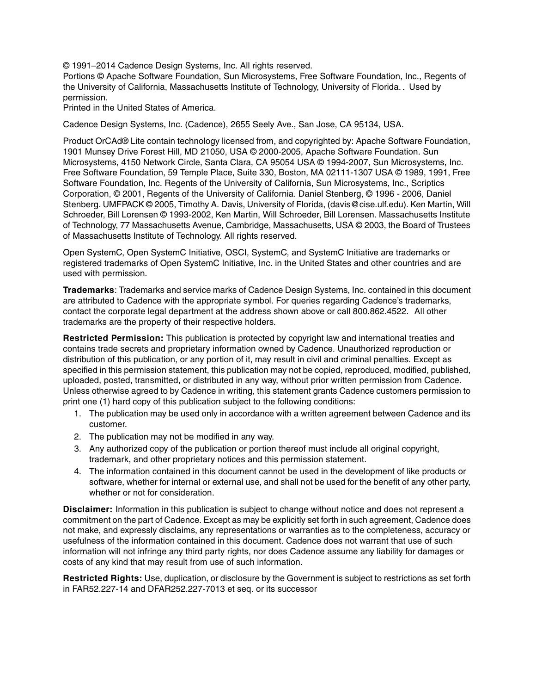© 1991–2014 Cadence Design Systems, Inc. All rights reserved.

Portions © Apache Software Foundation, Sun Microsystems, Free Software Foundation, Inc., Regents of the University of California, Massachusetts Institute of Technology, University of Florida.*.* Used by permission.

Printed in the United States of America.

Cadence Design Systems, Inc. (Cadence), 2655 Seely Ave., San Jose, CA 95134, USA.

Product OrCAd® Lite contain technology licensed from, and copyrighted by: Apache Software Foundation, 1901 Munsey Drive Forest Hill, MD 21050, USA © 2000-2005, Apache Software Foundation. Sun Microsystems, 4150 Network Circle, Santa Clara, CA 95054 USA © 1994-2007, Sun Microsystems, Inc. Free Software Foundation, 59 Temple Place, Suite 330, Boston, MA 02111-1307 USA © 1989, 1991, Free Software Foundation, Inc. Regents of the University of California, Sun Microsystems, Inc., Scriptics Corporation, © 2001, Regents of the University of California. Daniel Stenberg, © 1996 - 2006, Daniel Stenberg. UMFPACK © 2005, Timothy A. Davis, University of Florida, (davis@cise.ulf.edu). Ken Martin, Will Schroeder, Bill Lorensen © 1993-2002, Ken Martin, Will Schroeder, Bill Lorensen. Massachusetts Institute of Technology, 77 Massachusetts Avenue, Cambridge, Massachusetts, USA © 2003, the Board of Trustees of Massachusetts Institute of Technology. All rights reserved.

Open SystemC, Open SystemC Initiative, OSCI, SystemC, and SystemC Initiative are trademarks or registered trademarks of Open SystemC Initiative, Inc. in the United States and other countries and are used with permission.

**Trademarks**: Trademarks and service marks of Cadence Design Systems, Inc. contained in this document are attributed to Cadence with the appropriate symbol. For queries regarding Cadence's trademarks, contact the corporate legal department at the address shown above or call 800.862.4522. All other trademarks are the property of their respective holders.

**Restricted Permission:** This publication is protected by copyright law and international treaties and contains trade secrets and proprietary information owned by Cadence. Unauthorized reproduction or distribution of this publication, or any portion of it, may result in civil and criminal penalties. Except as specified in this permission statement, this publication may not be copied, reproduced, modified, published, uploaded, posted, transmitted, or distributed in any way, without prior written permission from Cadence. Unless otherwise agreed to by Cadence in writing, this statement grants Cadence customers permission to print one (1) hard copy of this publication subject to the following conditions:

- 1. The publication may be used only in accordance with a written agreement between Cadence and its customer.
- 2. The publication may not be modified in any way.
- 3. Any authorized copy of the publication or portion thereof must include all original copyright, trademark, and other proprietary notices and this permission statement.
- 4. The information contained in this document cannot be used in the development of like products or software, whether for internal or external use, and shall not be used for the benefit of any other party, whether or not for consideration.

**Disclaimer:** Information in this publication is subject to change without notice and does not represent a commitment on the part of Cadence. Except as may be explicitly set forth in such agreement, Cadence does not make, and expressly disclaims, any representations or warranties as to the completeness, accuracy or usefulness of the information contained in this document. Cadence does not warrant that use of such information will not infringe any third party rights, nor does Cadence assume any liability for damages or costs of any kind that may result from use of such information.

**Restricted Rights:** Use, duplication, or disclosure by the Government is subject to restrictions as set forth in FAR52.227-14 and DFAR252.227-7013 et seq. or its successor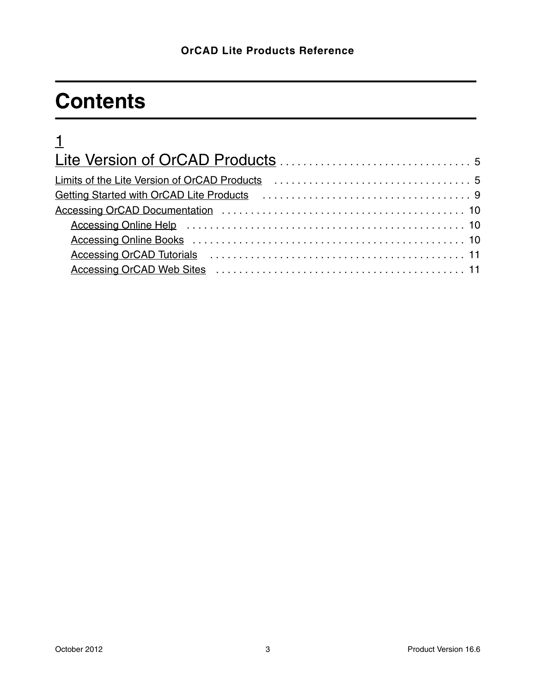## **Contents**

| $\frac{1}{2}$                                                                                                                                                                                                                  |  |
|--------------------------------------------------------------------------------------------------------------------------------------------------------------------------------------------------------------------------------|--|
|                                                                                                                                                                                                                                |  |
| Limits of the Lite Version of OrCAD Products (and the content of the Units of the Lite Version of OrCAD Products (Aproximation of the Units of the Units of the Units of the Units of the Units of the Units of the Units of t |  |
|                                                                                                                                                                                                                                |  |
|                                                                                                                                                                                                                                |  |
| Accessing Online Help (and accession of the Media Accessing Online Help (and accessing Online Help (and access                                                                                                                 |  |
|                                                                                                                                                                                                                                |  |
|                                                                                                                                                                                                                                |  |
|                                                                                                                                                                                                                                |  |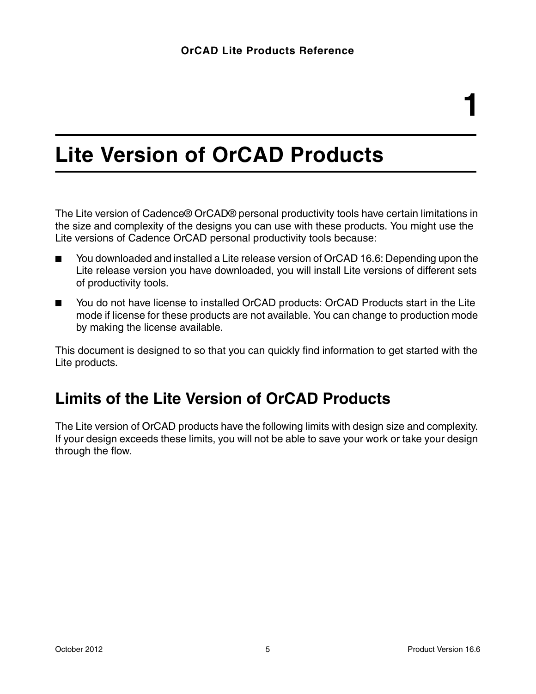## <span id="page-4-1"></span><span id="page-4-0"></span>**Lite Version of OrCAD Products**

The Lite version of Cadence® OrCAD® personal productivity tools have certain limitations in the size and complexity of the designs you can use with these products. You might use the Lite versions of Cadence OrCAD personal productivity tools because:

- You downloaded and installed a Lite release version of OrCAD 16.6: Depending upon the Lite release version you have downloaded, you will install Lite versions of different sets of productivity tools.
- You do not have license to installed OrCAD products: OrCAD Products start in the Lite mode if license for these products are not available. You can change to production mode by making the license available.

This document is designed to so that you can quickly find information to get started with the Lite products.

### <span id="page-4-2"></span>**Limits of the Lite Version of OrCAD Products**

The Lite version of OrCAD products have the following limits with design size and complexity. If your design exceeds these limits, you will not be able to save your work or take your design through the flow.

**1**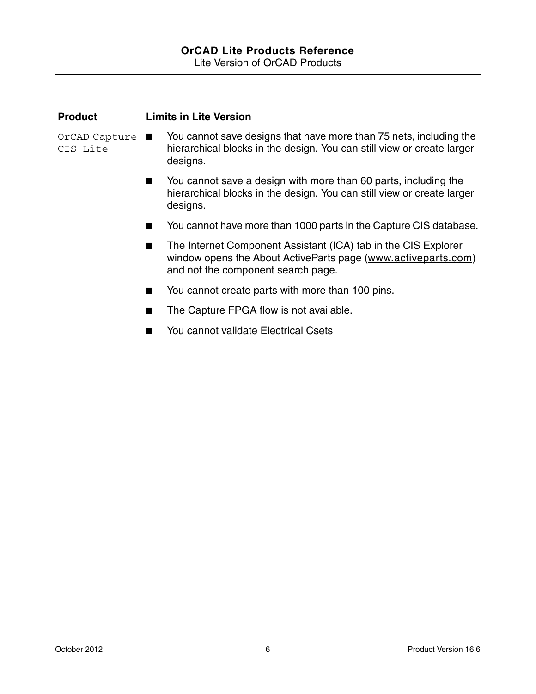| <b>Product</b>              | <b>Limits in Lite Version</b> |                                                                                                                                                                       |  |
|-----------------------------|-------------------------------|-----------------------------------------------------------------------------------------------------------------------------------------------------------------------|--|
| $OrCAD$ Capture<br>CIS Lite |                               | You cannot save designs that have more than 75 nets, including the<br>hierarchical blocks in the design. You can still view or create larger<br>designs.              |  |
|                             |                               | You cannot save a design with more than 60 parts, including the<br>hierarchical blocks in the design. You can still view or create larger<br>designs.                 |  |
|                             |                               | You cannot have more than 1000 parts in the Capture CIS database.                                                                                                     |  |
|                             | H.                            | The Internet Component Assistant (ICA) tab in the CIS Explorer<br>window opens the About ActiveParts page (www.activeparts.com)<br>and not the component search page. |  |
|                             | ٠                             | You cannot create parts with more than 100 pins.                                                                                                                      |  |
|                             |                               | The Capture FPGA flow is not available.                                                                                                                               |  |
|                             |                               | You cannot validate Electrical Csets                                                                                                                                  |  |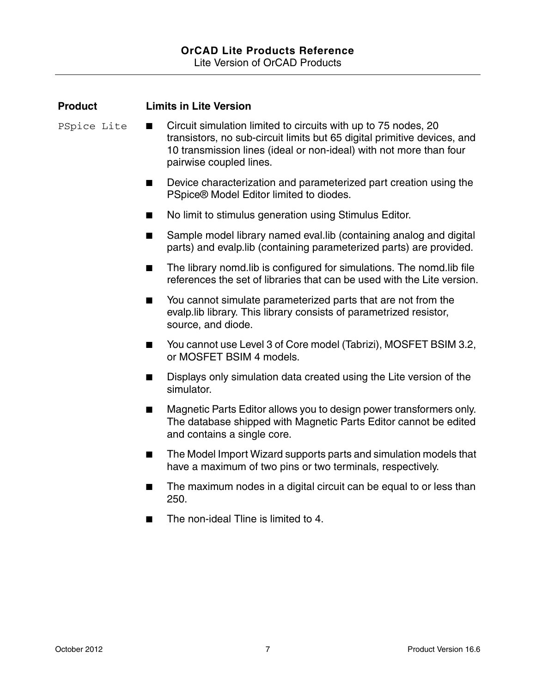| <b>Product</b> | <b>Limits in Lite Version</b>                                                                                                                                                                                                                    |
|----------------|--------------------------------------------------------------------------------------------------------------------------------------------------------------------------------------------------------------------------------------------------|
| PSpice Lite    | Circuit simulation limited to circuits with up to 75 nodes, 20<br>ш<br>transistors, no sub-circuit limits but 65 digital primitive devices, and<br>10 transmission lines (ideal or non-ideal) with not more than four<br>pairwise coupled lines. |
|                | Device characterization and parameterized part creation using the<br>×<br>PSpice® Model Editor limited to diodes.                                                                                                                                |
|                | No limit to stimulus generation using Stimulus Editor.                                                                                                                                                                                           |
|                | Sample model library named eval. lib (containing analog and digital<br>×<br>parts) and evalp. lib (containing parameterized parts) are provided.                                                                                                 |
|                | The library nomd. I ib is configured for simulations. The nomd. I ib file<br>ш<br>references the set of libraries that can be used with the Lite version.                                                                                        |
|                | You cannot simulate parameterized parts that are not from the<br>×<br>evalp. lib library. This library consists of parametrized resistor,<br>source, and diode.                                                                                  |
|                | You cannot use Level 3 of Core model (Tabrizi), MOSFET BSIM 3.2,<br>ш<br>or MOSFET BSIM 4 models.                                                                                                                                                |
|                | Displays only simulation data created using the Lite version of the<br>٠<br>simulator.                                                                                                                                                           |
|                | Magnetic Parts Editor allows you to design power transformers only.<br>ш<br>The database shipped with Magnetic Parts Editor cannot be edited<br>and contains a single core.                                                                      |
|                | The Model Import Wizard supports parts and simulation models that<br>ш<br>have a maximum of two pins or two terminals, respectively.                                                                                                             |
|                | The maximum nodes in a digital circuit can be equal to or less than<br>250.                                                                                                                                                                      |
|                | The non-ideal Tline is limited to 4.                                                                                                                                                                                                             |
|                |                                                                                                                                                                                                                                                  |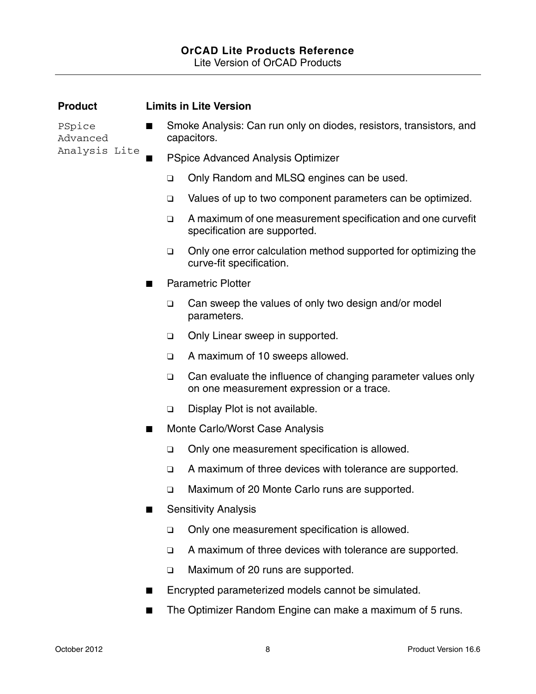#### **OrCAD Lite Products Reference** Lite Version of OrCAD Products

| <b>Product</b>                      |                | <b>Limits in Lite Version</b>      |                                                                                                           |  |  |  |
|-------------------------------------|----------------|------------------------------------|-----------------------------------------------------------------------------------------------------------|--|--|--|
| PSpice<br>Advanced<br>Analysis Lite | ш              |                                    | Smoke Analysis: Can run only on diodes, resistors, transistors, and<br>capacitors.                        |  |  |  |
|                                     |                | PSpice Advanced Analysis Optimizer |                                                                                                           |  |  |  |
|                                     |                | $\Box$                             | Only Random and MLSQ engines can be used.                                                                 |  |  |  |
|                                     |                | $\Box$                             | Values of up to two component parameters can be optimized.                                                |  |  |  |
|                                     |                | $\Box$                             | A maximum of one measurement specification and one curvefit<br>specification are supported.               |  |  |  |
|                                     |                | $\Box$                             | Only one error calculation method supported for optimizing the<br>curve-fit specification.                |  |  |  |
|                                     | H              |                                    | <b>Parametric Plotter</b>                                                                                 |  |  |  |
|                                     |                | $\Box$                             | Can sweep the values of only two design and/or model<br>parameters.                                       |  |  |  |
|                                     |                | $\Box$                             | Only Linear sweep in supported.                                                                           |  |  |  |
|                                     |                | $\Box$                             | A maximum of 10 sweeps allowed.                                                                           |  |  |  |
|                                     |                | $\Box$                             | Can evaluate the influence of changing parameter values only<br>on one measurement expression or a trace. |  |  |  |
|                                     |                | $\Box$                             | Display Plot is not available.                                                                            |  |  |  |
|                                     | ш              |                                    | Monte Carlo/Worst Case Analysis                                                                           |  |  |  |
|                                     |                | $\Box$                             | Only one measurement specification is allowed.                                                            |  |  |  |
|                                     |                | $\Box$                             | A maximum of three devices with tolerance are supported.                                                  |  |  |  |
|                                     |                | $\Box$                             | Maximum of 20 Monte Carlo runs are supported.                                                             |  |  |  |
|                                     | Ш              |                                    | <b>Sensitivity Analysis</b>                                                                               |  |  |  |
|                                     |                | $\Box$                             | Only one measurement specification is allowed.                                                            |  |  |  |
|                                     |                | $\Box$                             | A maximum of three devices with tolerance are supported.                                                  |  |  |  |
|                                     |                | $\Box$                             | Maximum of 20 runs are supported.                                                                         |  |  |  |
|                                     | ш              |                                    | Encrypted parameterized models cannot be simulated.                                                       |  |  |  |
|                                     | $\blacksquare$ |                                    | The Optimizer Random Engine can make a maximum of 5 runs.                                                 |  |  |  |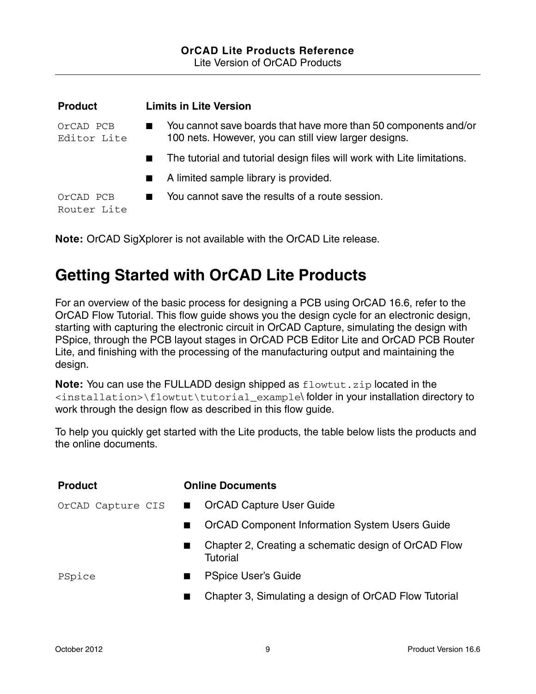| <b>Product</b>           | <b>Limits in Lite Version</b>                                                                                            |  |
|--------------------------|--------------------------------------------------------------------------------------------------------------------------|--|
| OrCAD PCB<br>Editor Lite | You cannot save boards that have more than 50 components and/or<br>100 nets. However, you can still view larger designs. |  |
|                          | The tutorial and tutorial design files will work with Lite limitations.                                                  |  |
|                          | A limited sample library is provided.<br><b>Contract</b>                                                                 |  |
| OrCAD PCB<br>Router Lite | You cannot save the results of a route session.                                                                          |  |

**Note:** OrCAD SigXplorer is not available with the OrCAD Lite release.

## <span id="page-8-0"></span>**Getting Started with OrCAD Lite Products**

For an overview of the basic process for designing a PCB using OrCAD 16.6, refer to the OrCAD Flow Tutorial. This flow guide shows you the design cycle for an electronic design, starting with capturing the electronic circuit in OrCAD Capture, simulating the design with PSpice, through the PCB layout stages in OrCAD PCB Editor Lite and OrCAD PCB Router Lite, and finishing with the processing of the manufacturing output and maintaining the design.

**Note:** You can use the FULLADD design shipped as flowtut.zip located in the <installation>\flowtut\tutorial\_example\ folder in your installation directory to work through the design flow as described in this flow guide.

To help you quickly get started with the Lite products, the table below lists the products and the online documents.

| <b>Product</b>    |              | <b>Online Documents</b>                                          |
|-------------------|--------------|------------------------------------------------------------------|
| OrCAD Capture CIS | $\mathbf{r}$ | <b>OrCAD Capture User Guide</b>                                  |
|                   |              | <b>OrCAD Component Information System Users Guide</b>            |
|                   |              | Chapter 2, Creating a schematic design of OrCAD Flow<br>Tutorial |
| PSpice            |              | <b>PSpice User's Guide</b>                                       |
|                   |              | Chapter 3, Simulating a design of OrCAD Flow Tutorial            |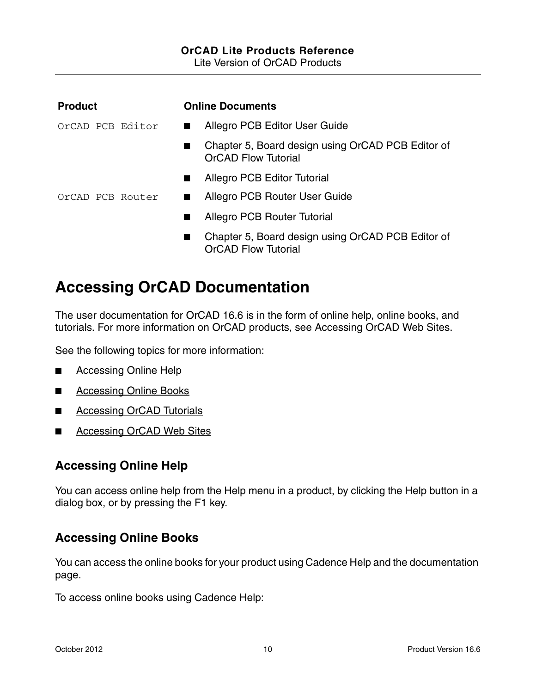## **OrCAD Lite Products Reference**

Lite Version of OrCAD Products

| <b>Product</b>   | <b>Online Documents</b>                                                         |
|------------------|---------------------------------------------------------------------------------|
| OrCAD PCB Editor | Allegro PCB Editor User Guide<br>$\blacksquare$                                 |
|                  | Chapter 5, Board design using OrCAD PCB Editor of<br><b>OrCAD Flow Tutorial</b> |
|                  | <b>Allegro PCB Editor Tutorial</b>                                              |
| OrCAD PCB Router | Allegro PCB Router User Guide<br>$\blacksquare$                                 |
|                  | <b>Allegro PCB Router Tutorial</b>                                              |
|                  | Chapter 5, Board design using OrCAD PCB Editor of<br><b>OrCAD Flow Tutorial</b> |

## <span id="page-9-0"></span>**Accessing OrCAD Documentation**

The user documentation for OrCAD 16.6 is in the form of online help, online books, and tutorials. For more information on OrCAD products, see [Accessing OrCAD Web Sites.](#page-10-1)

See the following topics for more information:

- [Accessing Online Help](#page-9-1)
- [Accessing Online Books](#page-9-2)
- [Accessing OrCAD Tutorials](#page-10-0)
- [Accessing OrCAD Web Sites](#page-10-1)

### <span id="page-9-1"></span>**Accessing Online Help**

You can access online help from the Help menu in a product, by clicking the Help button in a dialog box, or by pressing the F1 key.

### <span id="page-9-2"></span>**Accessing Online Books**

You can access the online books for your product using Cadence Help and the documentation page.

To access online books using Cadence Help: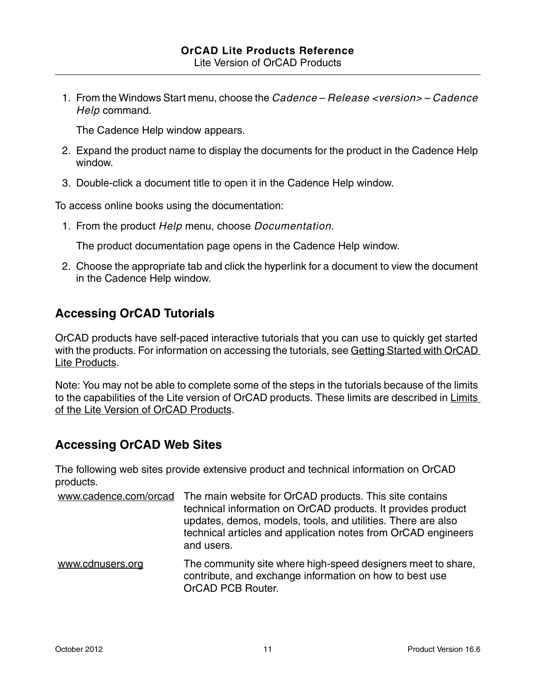1. From the Windows Start menu, choose the *Cadence* – *Release <version>* – *Cadence Help* command.

The Cadence Help window appears.

- 2. Expand the product name to display the documents for the product in the Cadence Help window.
- 3. Double-click a document title to open it in the Cadence Help window.

To access online books using the documentation:

1. From the product *Help* menu, choose *Documentation*.

The product documentation page opens in the Cadence Help window.

2. Choose the appropriate tab and click the hyperlink for a document to view the document in the Cadence Help window.

#### <span id="page-10-0"></span>**Accessing OrCAD Tutorials**

OrCAD products have self-paced interactive tutorials that you can use to quickly get started with the products. For information on accessing the tutorials, see Getting Started with OrCAD [Lite Products.](#page-8-0)

Note: You may not be able to complete some of the steps in the tutorials because of the limits to the capabilities of the Lite version of OrCAD products. These limits are described in Limits [of the Lite Version of OrCAD Products.](#page-4-2)

### <span id="page-10-1"></span>**Accessing OrCAD Web Sites**

The following web sites provide extensive product and technical information on OrCAD products.

| www.cadence.com/orcad | The main website for OrCAD products. This site contains<br>technical information on OrCAD products. It provides product<br>updates, demos, models, tools, and utilities. There are also<br>technical articles and application notes from OrCAD engineers<br>and users. |
|-----------------------|------------------------------------------------------------------------------------------------------------------------------------------------------------------------------------------------------------------------------------------------------------------------|
| www.cdnusers.org      | The community site where high-speed designers meet to share,<br>المتحدد للمتمامل والتناديس والتمام والمتحدد والمناول والمستحدث والمتحدث والمستحدث والمطموعات                                                                                                           |